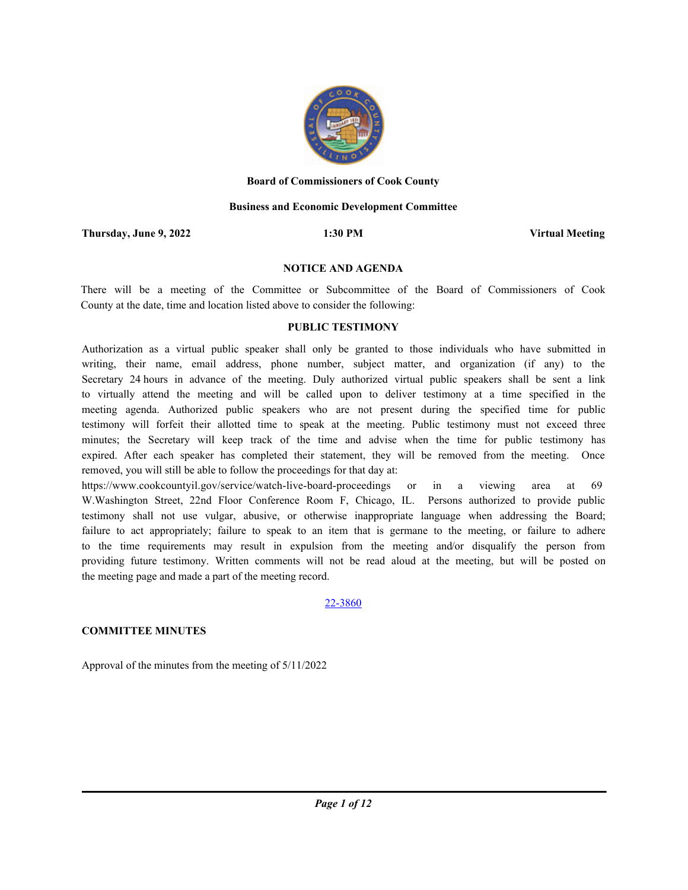

#### **Board of Commissioners of Cook County**

#### **Business and Economic Development Committee**

**Thursday, June 9, 2022 1:30 PM Virtual Meeting**

#### **NOTICE AND AGENDA**

There will be a meeting of the Committee or Subcommittee of the Board of Commissioners of Cook County at the date, time and location listed above to consider the following:

### **PUBLIC TESTIMONY**

Authorization as a virtual public speaker shall only be granted to those individuals who have submitted in writing, their name, email address, phone number, subject matter, and organization (if any) to the Secretary 24 hours in advance of the meeting. Duly authorized virtual public speakers shall be sent a link to virtually attend the meeting and will be called upon to deliver testimony at a time specified in the meeting agenda. Authorized public speakers who are not present during the specified time for public testimony will forfeit their allotted time to speak at the meeting. Public testimony must not exceed three minutes; the Secretary will keep track of the time and advise when the time for public testimony has expired. After each speaker has completed their statement, they will be removed from the meeting. Once removed, you will still be able to follow the proceedings for that day at:

https://www.cookcountyil.gov/service/watch-live-board-proceedings or in a viewing area at 69 W.Washington Street, 22nd Floor Conference Room F, Chicago, IL. Persons authorized to provide public testimony shall not use vulgar, abusive, or otherwise inappropriate language when addressing the Board; failure to act appropriately; failure to speak to an item that is germane to the meeting, or failure to adhere to the time requirements may result in expulsion from the meeting and/or disqualify the person from providing future testimony. Written comments will not be read aloud at the meeting, but will be posted on the meeting page and made a part of the meeting record.

#### 22-3860

## **COMMITTEE MINUTES**

Approval of the minutes from the meeting of 5/11/2022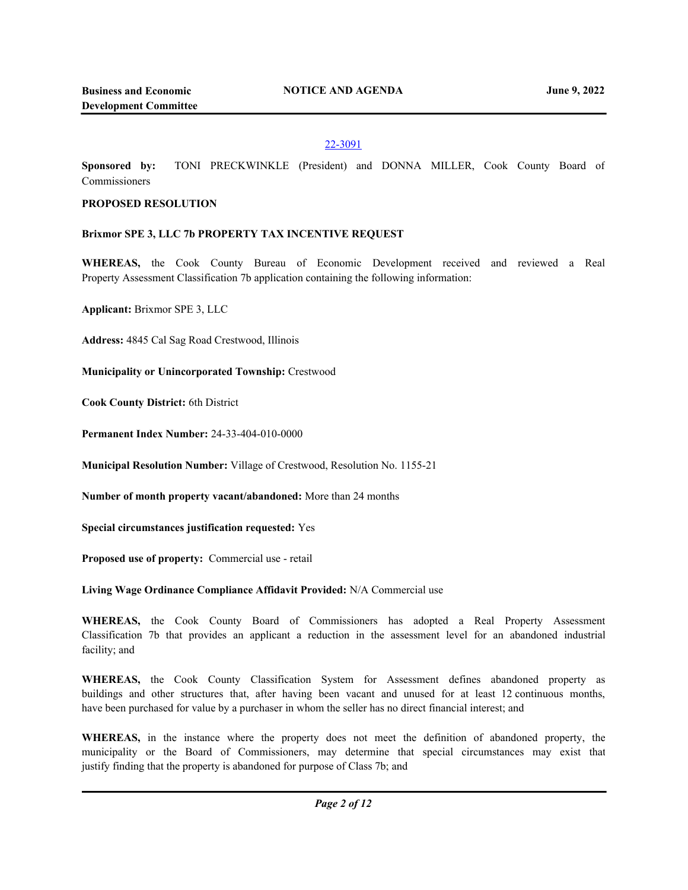## 22-3091

**Sponsored by:** TONI PRECKWINKLE (President) and DONNA MILLER, Cook County Board of Commissioners

## **PROPOSED RESOLUTION**

### **Brixmor SPE 3, LLC 7b PROPERTY TAX INCENTIVE REQUEST**

**WHEREAS,** the Cook County Bureau of Economic Development received and reviewed a Real Property Assessment Classification 7b application containing the following information:

**Applicant:** Brixmor SPE 3, LLC

**Address:** 4845 Cal Sag Road Crestwood, Illinois

**Municipality or Unincorporated Township:** Crestwood

**Cook County District:** 6th District

**Permanent Index Number:** 24-33-404-010-0000

**Municipal Resolution Number:** Village of Crestwood, Resolution No. 1155-21

**Number of month property vacant/abandoned:** More than 24 months

**Special circumstances justification requested:** Yes

**Proposed use of property:** Commercial use - retail

**Living Wage Ordinance Compliance Affidavit Provided:** N/A Commercial use

**WHEREAS,** the Cook County Board of Commissioners has adopted a Real Property Assessment Classification 7b that provides an applicant a reduction in the assessment level for an abandoned industrial facility; and

**WHEREAS,** the Cook County Classification System for Assessment defines abandoned property as buildings and other structures that, after having been vacant and unused for at least 12 continuous months, have been purchased for value by a purchaser in whom the seller has no direct financial interest; and

**WHEREAS,** in the instance where the property does not meet the definition of abandoned property, the municipality or the Board of Commissioners, may determine that special circumstances may exist that justify finding that the property is abandoned for purpose of Class 7b; and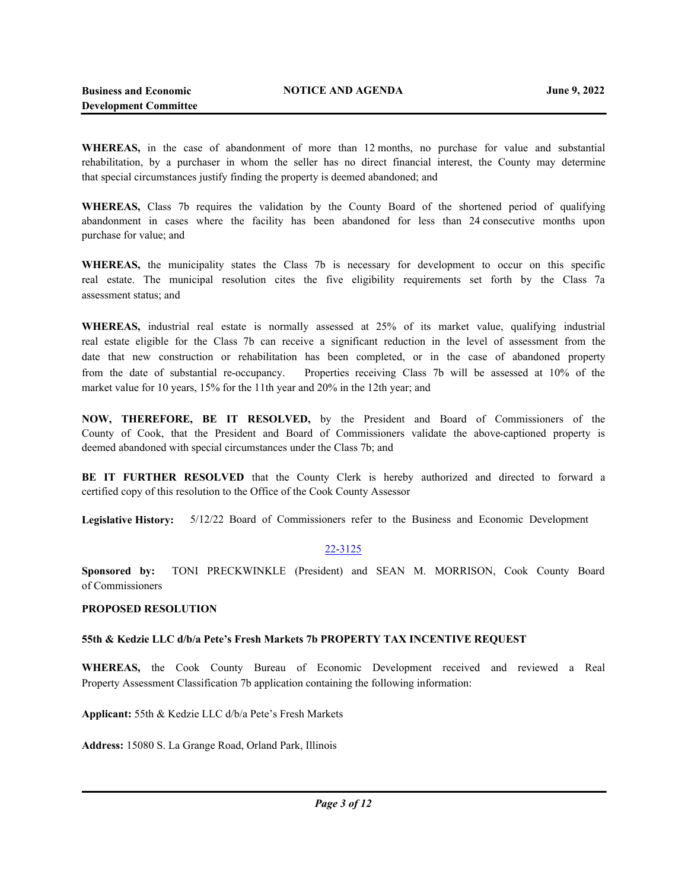**WHEREAS,** in the case of abandonment of more than 12 months, no purchase for value and substantial rehabilitation, by a purchaser in whom the seller has no direct financial interest, the County may determine that special circumstances justify finding the property is deemed abandoned; and

**WHEREAS,** Class 7b requires the validation by the County Board of the shortened period of qualifying abandonment in cases where the facility has been abandoned for less than 24 consecutive months upon purchase for value; and

**WHEREAS,** the municipality states the Class 7b is necessary for development to occur on this specific real estate. The municipal resolution cites the five eligibility requirements set forth by the Class 7a assessment status; and

**WHEREAS,** industrial real estate is normally assessed at 25% of its market value, qualifying industrial real estate eligible for the Class 7b can receive a significant reduction in the level of assessment from the date that new construction or rehabilitation has been completed, or in the case of abandoned property from the date of substantial re-occupancy. Properties receiving Class 7b will be assessed at 10% of the market value for 10 years, 15% for the 11th year and 20% in the 12th year; and

**NOW, THEREFORE, BE IT RESOLVED,** by the President and Board of Commissioners of the County of Cook, that the President and Board of Commissioners validate the above-captioned property is deemed abandoned with special circumstances under the Class 7b; and

**BE IT FURTHER RESOLVED** that the County Clerk is hereby authorized and directed to forward a certified copy of this resolution to the Office of the Cook County Assessor

**Legislative History:** 5/12/22 Board of Commissioners refer to the Business and Economic Development

## 22-3125

**Sponsored by:** TONI PRECKWINKLE (President) and SEAN M. MORRISON, Cook County Board of Commissioners

## **PROPOSED RESOLUTION**

## **55th & Kedzie LLC d/b/a Pete's Fresh Markets 7b PROPERTY TAX INCENTIVE REQUEST**

**WHEREAS,** the Cook County Bureau of Economic Development received and reviewed a Real Property Assessment Classification 7b application containing the following information:

**Applicant:** 55th & Kedzie LLC d/b/a Pete's Fresh Markets

**Address:** 15080 S. La Grange Road, Orland Park, Illinois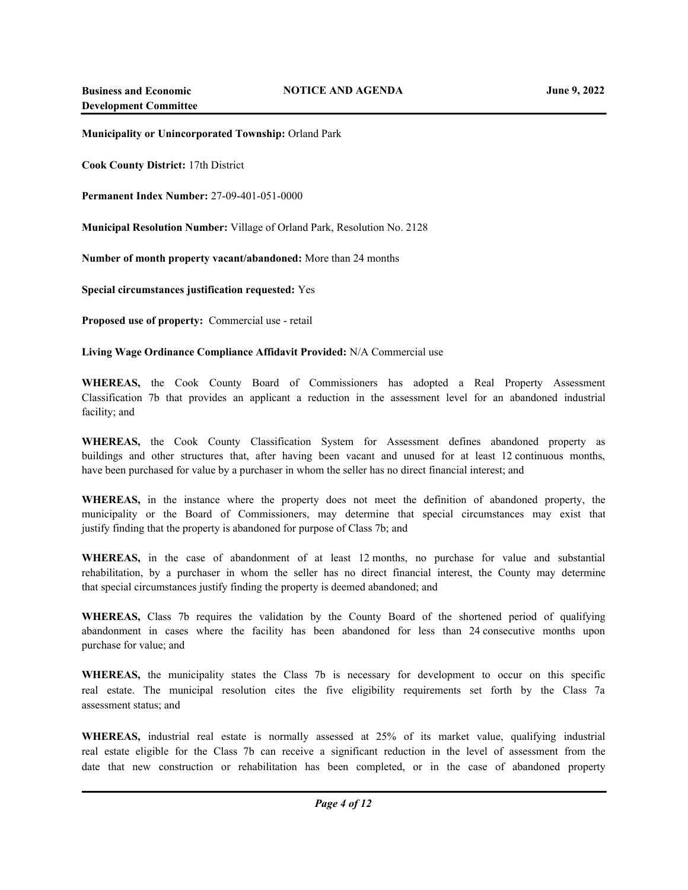**Municipality or Unincorporated Township:** Orland Park

**Cook County District:** 17th District

**Permanent Index Number:** 27-09-401-051-0000

**Municipal Resolution Number:** Village of Orland Park, Resolution No. 2128

**Number of month property vacant/abandoned:** More than 24 months

**Special circumstances justification requested:** Yes

**Proposed use of property:** Commercial use - retail

**Living Wage Ordinance Compliance Affidavit Provided:** N/A Commercial use

**WHEREAS,** the Cook County Board of Commissioners has adopted a Real Property Assessment Classification 7b that provides an applicant a reduction in the assessment level for an abandoned industrial facility; and

**WHEREAS,** the Cook County Classification System for Assessment defines abandoned property as buildings and other structures that, after having been vacant and unused for at least 12 continuous months, have been purchased for value by a purchaser in whom the seller has no direct financial interest; and

**WHEREAS,** in the instance where the property does not meet the definition of abandoned property, the municipality or the Board of Commissioners, may determine that special circumstances may exist that justify finding that the property is abandoned for purpose of Class 7b; and

**WHEREAS,** in the case of abandonment of at least 12 months, no purchase for value and substantial rehabilitation, by a purchaser in whom the seller has no direct financial interest, the County may determine that special circumstances justify finding the property is deemed abandoned; and

**WHEREAS,** Class 7b requires the validation by the County Board of the shortened period of qualifying abandonment in cases where the facility has been abandoned for less than 24 consecutive months upon purchase for value; and

**WHEREAS,** the municipality states the Class 7b is necessary for development to occur on this specific real estate. The municipal resolution cites the five eligibility requirements set forth by the Class 7a assessment status; and

**WHEREAS,** industrial real estate is normally assessed at 25% of its market value, qualifying industrial real estate eligible for the Class 7b can receive a significant reduction in the level of assessment from the date that new construction or rehabilitation has been completed, or in the case of abandoned property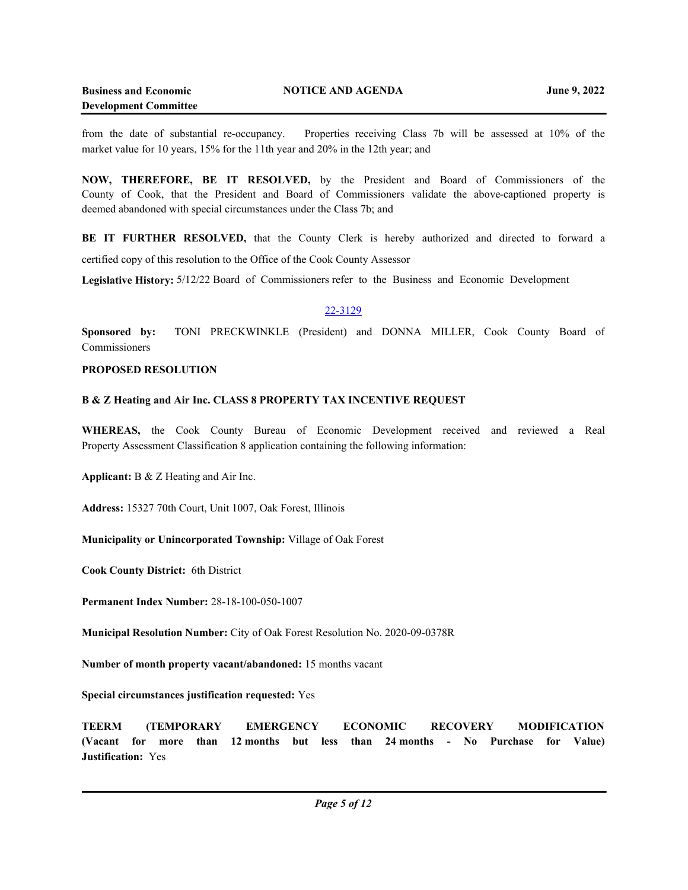from the date of substantial re-occupancy. Properties receiving Class 7b will be assessed at 10% of the market value for 10 years, 15% for the 11th year and 20% in the 12th year; and

**NOW, THEREFORE, BE IT RESOLVED,** by the President and Board of Commissioners of the County of Cook, that the President and Board of Commissioners validate the above-captioned property is deemed abandoned with special circumstances under the Class 7b; and

BE IT FURTHER RESOLVED, that the County Clerk is hereby authorized and directed to forward a certified copy of this resolution to the Office of the Cook County Assessor

**Legislative History:** 5/12/22 Board of Commissioners refer to the Business and Economic Development

### 22-3129

**Sponsored by:** TONI PRECKWINKLE (President) and DONNA MILLER, Cook County Board of Commissioners

### **PROPOSED RESOLUTION**

### **B & Z Heating and Air Inc. CLASS 8 PROPERTY TAX INCENTIVE REQUEST**

**WHEREAS,** the Cook County Bureau of Economic Development received and reviewed a Real Property Assessment Classification 8 application containing the following information:

**Applicant:** B & Z Heating and Air Inc.

**Address:** 15327 70th Court, Unit 1007, Oak Forest, Illinois

**Municipality or Unincorporated Township:** Village of Oak Forest

**Cook County District:** 6th District

**Permanent Index Number:** 28-18-100-050-1007

**Municipal Resolution Number:** City of Oak Forest Resolution No. 2020-09-0378R

**Number of month property vacant/abandoned:** 15 months vacant

**Special circumstances justification requested:** Yes

**TEERM (TEMPORARY EMERGENCY ECONOMIC RECOVERY MODIFICATION (Vacant for more than 12 months but less than 24 months - No Purchase for Value) Justification:** Yes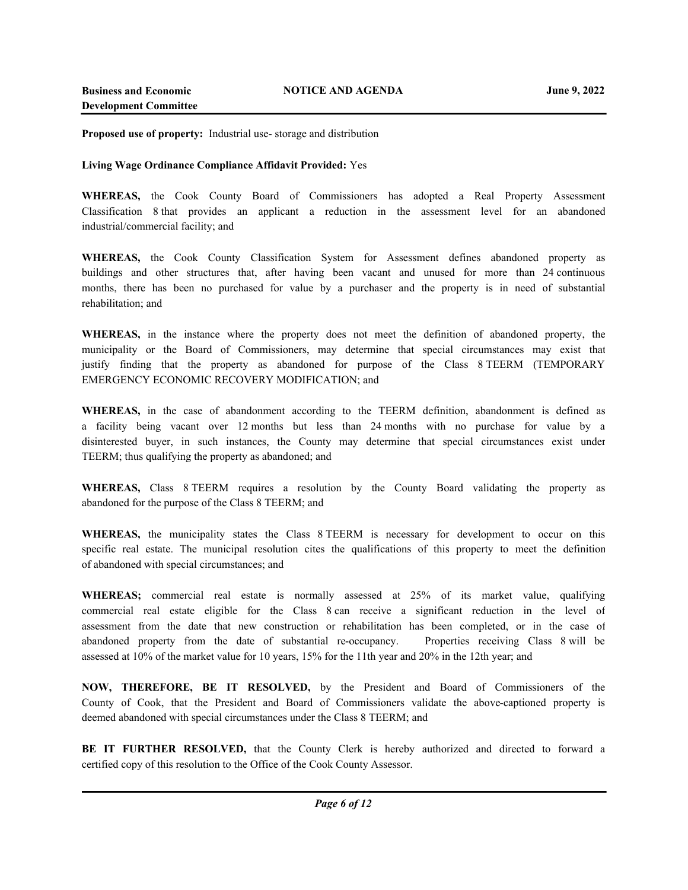**Proposed use of property:** Industrial use- storage and distribution

### **Living Wage Ordinance Compliance Affidavit Provided:** Yes

**WHEREAS,** the Cook County Board of Commissioners has adopted a Real Property Assessment Classification 8 that provides an applicant a reduction in the assessment level for an abandoned industrial/commercial facility; and

**WHEREAS,** the Cook County Classification System for Assessment defines abandoned property as buildings and other structures that, after having been vacant and unused for more than 24 continuous months, there has been no purchased for value by a purchaser and the property is in need of substantial rehabilitation; and

**WHEREAS,** in the instance where the property does not meet the definition of abandoned property, the municipality or the Board of Commissioners, may determine that special circumstances may exist that justify finding that the property as abandoned for purpose of the Class 8 TEERM (TEMPORARY EMERGENCY ECONOMIC RECOVERY MODIFICATION; and

**WHEREAS,** in the case of abandonment according to the TEERM definition, abandonment is defined as a facility being vacant over 12 months but less than 24 months with no purchase for value by a disinterested buyer, in such instances, the County may determine that special circumstances exist under TEERM; thus qualifying the property as abandoned; and

**WHEREAS,** Class 8 TEERM requires a resolution by the County Board validating the property as abandoned for the purpose of the Class 8 TEERM; and

**WHEREAS,** the municipality states the Class 8 TEERM is necessary for development to occur on this specific real estate. The municipal resolution cites the qualifications of this property to meet the definition of abandoned with special circumstances; and

**WHEREAS;** commercial real estate is normally assessed at 25% of its market value, qualifying commercial real estate eligible for the Class 8 can receive a significant reduction in the level of assessment from the date that new construction or rehabilitation has been completed, or in the case of abandoned property from the date of substantial re-occupancy. Properties receiving Class 8 will be assessed at 10% of the market value for 10 years, 15% for the 11th year and 20% in the 12th year; and

**NOW, THEREFORE, BE IT RESOLVED,** by the President and Board of Commissioners of the County of Cook, that the President and Board of Commissioners validate the above-captioned property is deemed abandoned with special circumstances under the Class 8 TEERM; and

**BE IT FURTHER RESOLVED,** that the County Clerk is hereby authorized and directed to forward a certified copy of this resolution to the Office of the Cook County Assessor.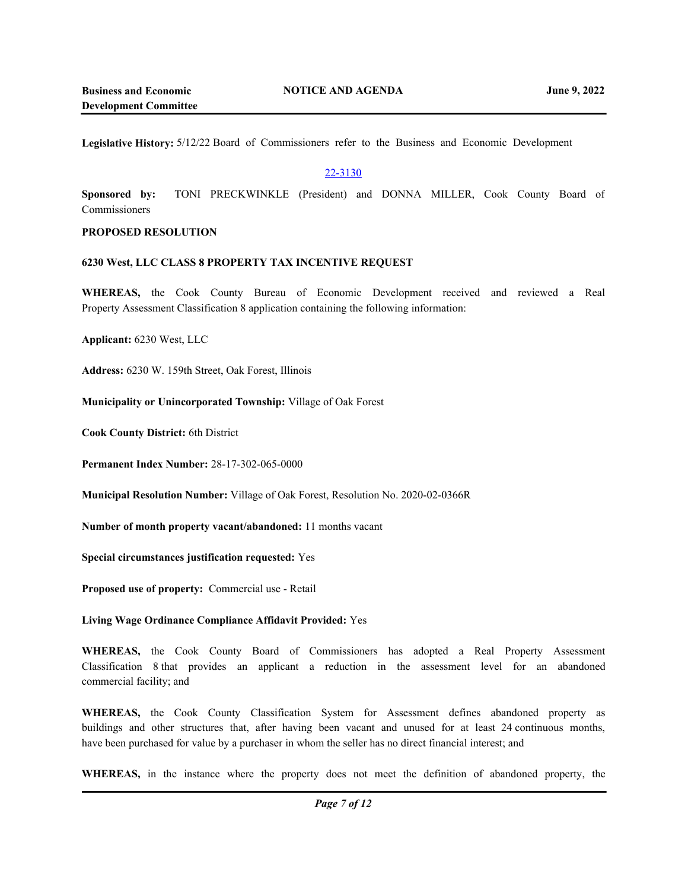**Legislative History:** 5/12/22 Board of Commissioners refer to the Business and Economic Development

## 22-3130

**Sponsored by:** TONI PRECKWINKLE (President) and DONNA MILLER, Cook County Board of Commissioners

## **PROPOSED RESOLUTION**

### **6230 West, LLC CLASS 8 PROPERTY TAX INCENTIVE REQUEST**

**WHEREAS,** the Cook County Bureau of Economic Development received and reviewed a Real Property Assessment Classification 8 application containing the following information:

**Applicant:** 6230 West, LLC

**Address:** 6230 W. 159th Street, Oak Forest, Illinois

**Municipality or Unincorporated Township:** Village of Oak Forest

**Cook County District:** 6th District

**Permanent Index Number:** 28-17-302-065-0000

**Municipal Resolution Number:** Village of Oak Forest, Resolution No. 2020-02-0366R

**Number of month property vacant/abandoned:** 11 months vacant

**Special circumstances justification requested:** Yes

**Proposed use of property:** Commercial use - Retail

**Living Wage Ordinance Compliance Affidavit Provided:** Yes

**WHEREAS,** the Cook County Board of Commissioners has adopted a Real Property Assessment Classification 8 that provides an applicant a reduction in the assessment level for an abandoned commercial facility; and

**WHEREAS,** the Cook County Classification System for Assessment defines abandoned property as buildings and other structures that, after having been vacant and unused for at least 24 continuous months, have been purchased for value by a purchaser in whom the seller has no direct financial interest; and

**WHEREAS,** in the instance where the property does not meet the definition of abandoned property, the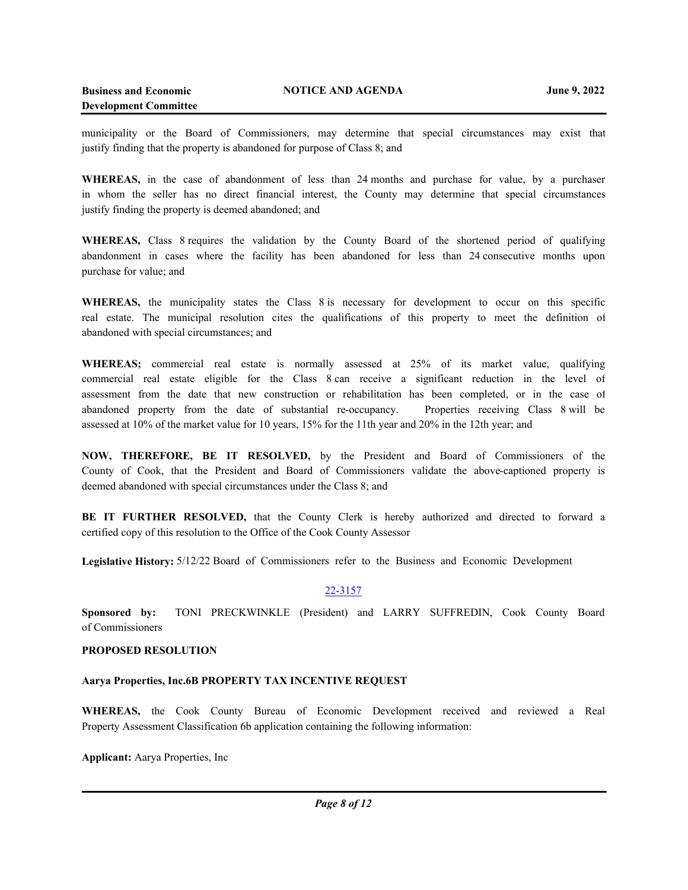municipality or the Board of Commissioners, may determine that special circumstances may exist that justify finding that the property is abandoned for purpose of Class 8; and

**WHEREAS,** in the case of abandonment of less than 24 months and purchase for value, by a purchaser in whom the seller has no direct financial interest, the County may determine that special circumstances justify finding the property is deemed abandoned; and

**WHEREAS,** Class 8 requires the validation by the County Board of the shortened period of qualifying abandonment in cases where the facility has been abandoned for less than 24 consecutive months upon purchase for value; and

**WHEREAS,** the municipality states the Class 8 is necessary for development to occur on this specific real estate. The municipal resolution cites the qualifications of this property to meet the definition of abandoned with special circumstances; and

**WHEREAS;** commercial real estate is normally assessed at 25% of its market value, qualifying commercial real estate eligible for the Class 8 can receive a significant reduction in the level of assessment from the date that new construction or rehabilitation has been completed, or in the case of abandoned property from the date of substantial re-occupancy. Properties receiving Class 8 will be assessed at 10% of the market value for 10 years, 15% for the 11th year and 20% in the 12th year; and

**NOW, THEREFORE, BE IT RESOLVED,** by the President and Board of Commissioners of the County of Cook, that the President and Board of Commissioners validate the above-captioned property is deemed abandoned with special circumstances under the Class 8; and

**BE IT FURTHER RESOLVED,** that the County Clerk is hereby authorized and directed to forward a certified copy of this resolution to the Office of the Cook County Assessor

**Legislative History:** 5/12/22 Board of Commissioners refer to the Business and Economic Development

## 22-3157

**Sponsored by:** TONI PRECKWINKLE (President) and LARRY SUFFREDIN, Cook County Board of Commissioners

## **PROPOSED RESOLUTION**

## **Aarya Properties, Inc.6B PROPERTY TAX INCENTIVE REQUEST**

**WHEREAS,** the Cook County Bureau of Economic Development received and reviewed a Real Property Assessment Classification 6b application containing the following information:

**Applicant:** Aarya Properties, Inc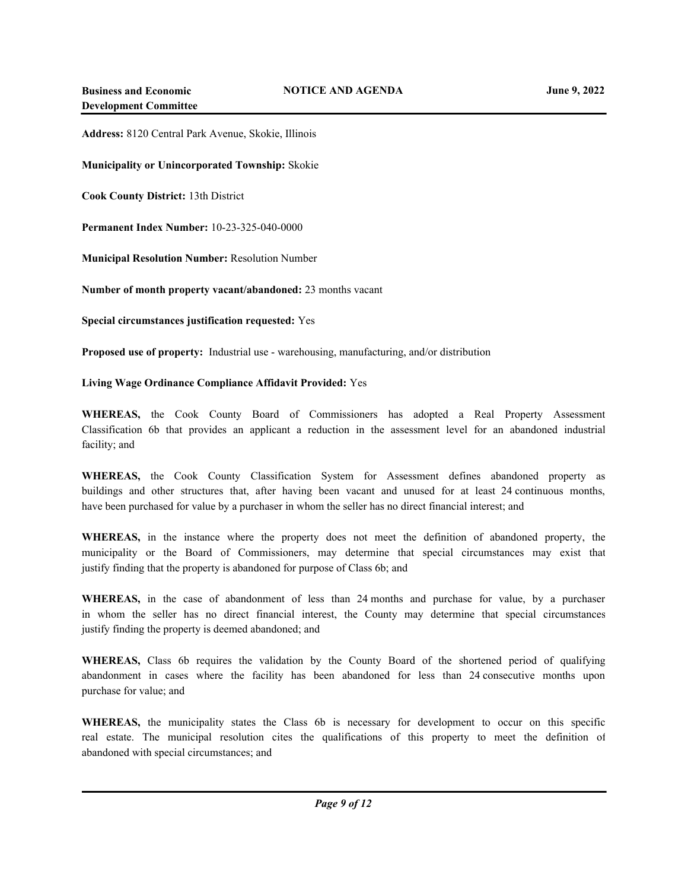**Address:** 8120 Central Park Avenue, Skokie, Illinois

**Municipality or Unincorporated Township:** Skokie

**Cook County District:** 13th District

**Permanent Index Number:** 10-23-325-040-0000

**Municipal Resolution Number:** Resolution Number

**Number of month property vacant/abandoned:** 23 months vacant

**Special circumstances justification requested:** Yes

**Proposed use of property:** Industrial use - warehousing, manufacturing, and/or distribution

**Living Wage Ordinance Compliance Affidavit Provided:** Yes

**WHEREAS,** the Cook County Board of Commissioners has adopted a Real Property Assessment Classification 6b that provides an applicant a reduction in the assessment level for an abandoned industrial facility; and

**WHEREAS,** the Cook County Classification System for Assessment defines abandoned property as buildings and other structures that, after having been vacant and unused for at least 24 continuous months, have been purchased for value by a purchaser in whom the seller has no direct financial interest; and

**WHEREAS,** in the instance where the property does not meet the definition of abandoned property, the municipality or the Board of Commissioners, may determine that special circumstances may exist that justify finding that the property is abandoned for purpose of Class 6b; and

**WHEREAS,** in the case of abandonment of less than 24 months and purchase for value, by a purchaser in whom the seller has no direct financial interest, the County may determine that special circumstances justify finding the property is deemed abandoned; and

**WHEREAS,** Class 6b requires the validation by the County Board of the shortened period of qualifying abandonment in cases where the facility has been abandoned for less than 24 consecutive months upon purchase for value; and

**WHEREAS,** the municipality states the Class 6b is necessary for development to occur on this specific real estate. The municipal resolution cites the qualifications of this property to meet the definition of abandoned with special circumstances; and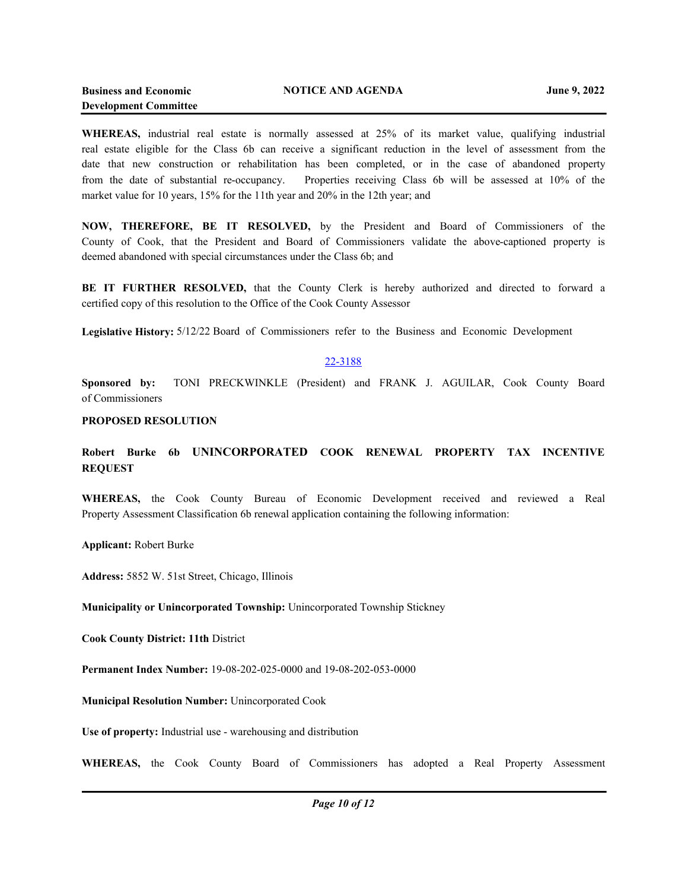**WHEREAS,** industrial real estate is normally assessed at 25% of its market value, qualifying industrial real estate eligible for the Class 6b can receive a significant reduction in the level of assessment from the date that new construction or rehabilitation has been completed, or in the case of abandoned property from the date of substantial re-occupancy. Properties receiving Class 6b will be assessed at 10% of the market value for 10 years, 15% for the 11th year and 20% in the 12th year; and

**NOW, THEREFORE, BE IT RESOLVED,** by the President and Board of Commissioners of the County of Cook, that the President and Board of Commissioners validate the above-captioned property is deemed abandoned with special circumstances under the Class 6b; and

**BE IT FURTHER RESOLVED,** that the County Clerk is hereby authorized and directed to forward a certified copy of this resolution to the Office of the Cook County Assessor

**Legislative History:** 5/12/22 Board of Commissioners refer to the Business and Economic Development

## 22-3188

**Sponsored by:** TONI PRECKWINKLE (President) and FRANK J. AGUILAR, Cook County Board of Commissioners

#### **PROPOSED RESOLUTION**

# **Robert Burke 6b UNINCORPORATED COOK RENEWAL PROPERTY TAX INCENTIVE REQUEST**

**WHEREAS,** the Cook County Bureau of Economic Development received and reviewed a Real Property Assessment Classification 6b renewal application containing the following information:

**Applicant:** Robert Burke

**Address:** 5852 W. 51st Street, Chicago, Illinois

**Municipality or Unincorporated Township:** Unincorporated Township Stickney

**Cook County District: 11th** District

**Permanent Index Number:** 19-08-202-025-0000 and 19-08-202-053-0000

**Municipal Resolution Number:** Unincorporated Cook

**Use of property:** Industrial use - warehousing and distribution

**WHEREAS,** the Cook County Board of Commissioners has adopted a Real Property Assessment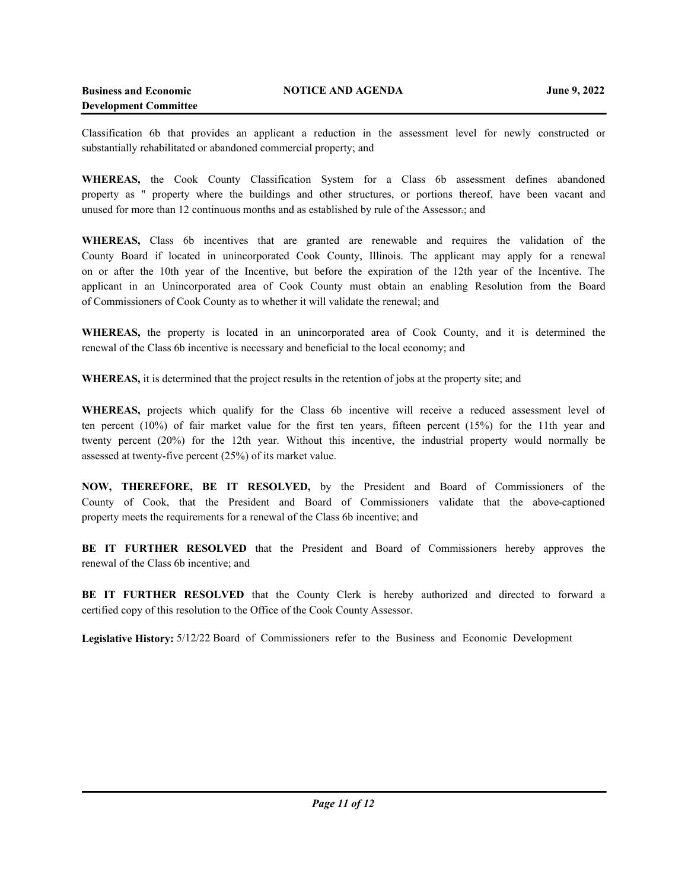Classification 6b that provides an applicant a reduction in the assessment level for newly constructed or substantially rehabilitated or abandoned commercial property; and

**WHEREAS,** the Cook County Classification System for a Class 6b assessment defines abandoned property as " property where the buildings and other structures, or portions thereof, have been vacant and unused for more than 12 continuous months and as established by rule of the Assessor.; and

**WHEREAS,** Class 6b incentives that are granted are renewable and requires the validation of the County Board if located in unincorporated Cook County, Illinois. The applicant may apply for a renewal on or after the 10th year of the Incentive, but before the expiration of the 12th year of the Incentive. The applicant in an Unincorporated area of Cook County must obtain an enabling Resolution from the Board of Commissioners of Cook County as to whether it will validate the renewal; and

**WHEREAS,** the property is located in an unincorporated area of Cook County, and it is determined the renewal of the Class 6b incentive is necessary and beneficial to the local economy; and

**WHEREAS,** it is determined that the project results in the retention of jobs at the property site; and

**WHEREAS,** projects which qualify for the Class 6b incentive will receive a reduced assessment level of ten percent (10%) of fair market value for the first ten years, fifteen percent (15%) for the 11th year and twenty percent (20%) for the 12th year. Without this incentive, the industrial property would normally be assessed at twenty-five percent (25%) of its market value.

**NOW, THEREFORE, BE IT RESOLVED,** by the President and Board of Commissioners of the County of Cook, that the President and Board of Commissioners validate that the above-captioned property meets the requirements for a renewal of the Class 6b incentive; and

**BE IT FURTHER RESOLVED** that the President and Board of Commissioners hereby approves the renewal of the Class 6b incentive; and

**BE IT FURTHER RESOLVED** that the County Clerk is hereby authorized and directed to forward a certified copy of this resolution to the Office of the Cook County Assessor.

**Legislative History:** 5/12/22 Board of Commissioners refer to the Business and Economic Development